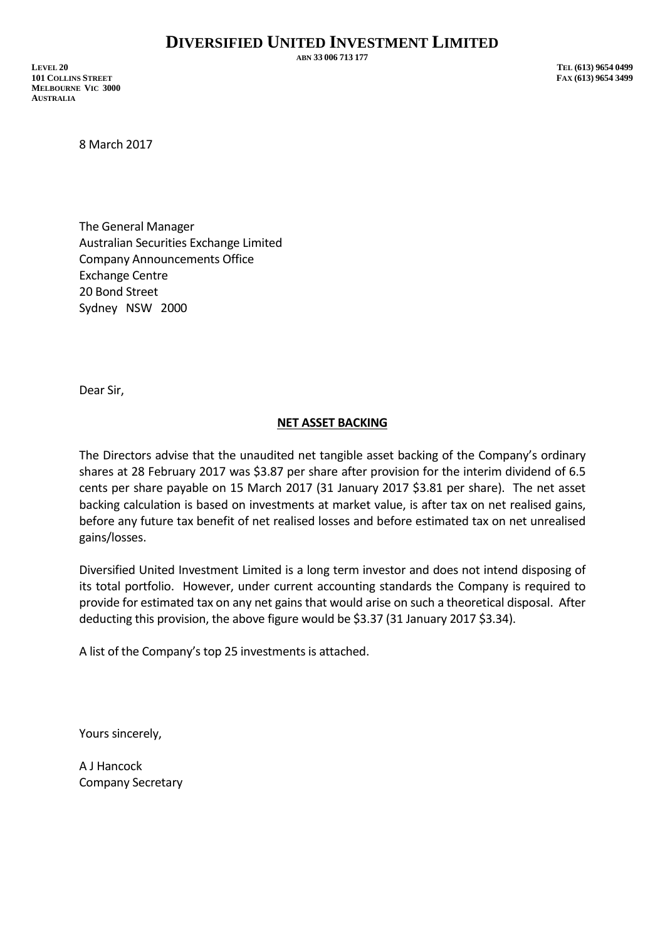**ABN 33 006 713 177**

**LEVEL 20 TEL (613) 9654 0499 101 COLLINS STREET FAX (613) 9654 3499 MELBOURNE VIC 3000 AUSTRALIA**

8 March 2017

The General Manager Australian Securities Exchange Limited Company Announcements Office Exchange Centre 20 Bond Street Sydney NSW 2000

Dear Sir,

## **NET ASSET BACKING**

The Directors advise that the unaudited net tangible asset backing of the Company's ordinary shares at 28 February 2017 was \$3.87 per share after provision for the interim dividend of 6.5 cents per share payable on 15 March 2017 (31 January 2017 \$3.81 per share). The net asset backing calculation is based on investments at market value, is after tax on net realised gains, before any future tax benefit of net realised losses and before estimated tax on net unrealised gains/losses.

Diversified United Investment Limited is a long term investor and does not intend disposing of its total portfolio. However, under current accounting standards the Company is required to provide for estimated tax on any net gains that would arise on such a theoretical disposal. After deducting this provision, the above figure would be \$3.37 (31 January 2017 \$3.34).

A list of the Company's top 25 investments is attached.

Yours sincerely,

A J Hancock Company Secretary